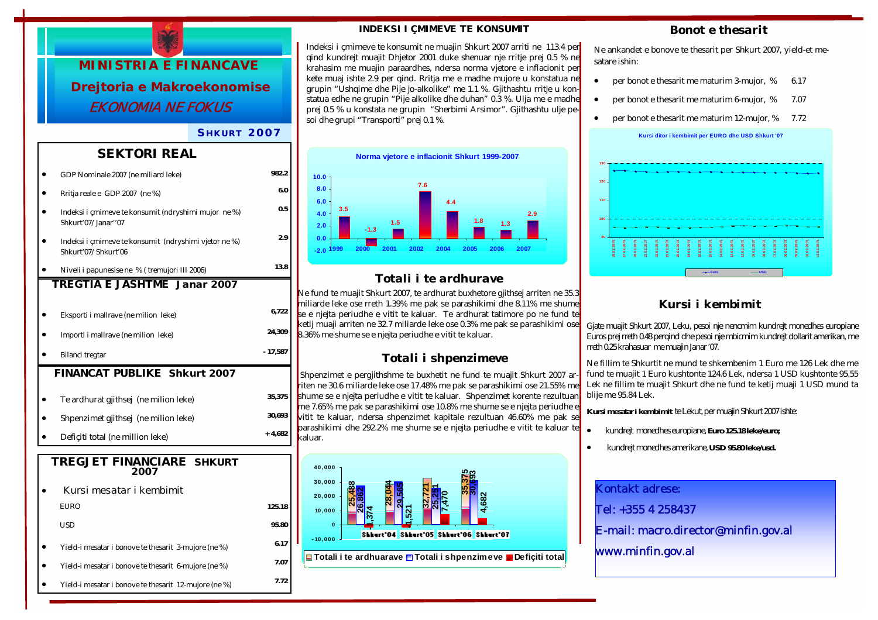

### *S HKURT 2007*

## *SEKTORI REAL*

|                                     | GDP Nominale 2007 (ne miliard leke)                                          | 982.2          |  |  |
|-------------------------------------|------------------------------------------------------------------------------|----------------|--|--|
|                                     | Rritja reale e GDP 2007 (ne %)                                               | 6.0            |  |  |
|                                     | Indeksi i çmimeve te konsumit (ndryshimi mujor ne %)<br>Shkurt'07/Janar''07  | 0.5            |  |  |
|                                     | Indeksi i çmimeve te konsumit (ndryshimi vjetor ne %)<br>Shkurt'07/Shkurt'06 | 2.9            |  |  |
|                                     | Niveli i papunesise ne % (tremujori III 2006)                                | 13.8           |  |  |
|                                     | TREGTIA E JASHTME Janar 2007                                                 |                |  |  |
|                                     | Eksporti i mallrave (ne milion leke)                                         | 6,722          |  |  |
|                                     | Importi i mallrave (ne milion leke)                                          | 24,309         |  |  |
|                                     | Bilanci tregtar                                                              | - 17,587       |  |  |
| <b>FINANCAT PUBLIKE Shkurt 2007</b> |                                                                              |                |  |  |
|                                     |                                                                              |                |  |  |
|                                     |                                                                              |                |  |  |
|                                     | Te ardhurat gjithsej (ne milion leke)                                        | 35,375         |  |  |
|                                     | Shpenzimet gjithsej (ne milion leke)                                         | 30,693         |  |  |
|                                     | Deficiti total (ne million leke)                                             | $+4,682$       |  |  |
|                                     | TREGJET FINANCIARE SHKURT<br>2007                                            |                |  |  |
|                                     | Kursi mesatar i kembimit                                                     |                |  |  |
|                                     | <b>EURO</b>                                                                  |                |  |  |
|                                     | USD                                                                          | 95.80          |  |  |
|                                     | Yield-i mesatar i bonove te thesarit 3-mujore (ne %)                         | 125.18<br>6.17 |  |  |
|                                     | Yield-i mesatar i bonove te thesarit 6-mujore (ne %)                         | 7.07           |  |  |

#### *INDEKSI I ÇMIMEVE TE KONSUMIT*

Indeksi i çmimeve te konsumit ne muajin Shkurt 2007 arriti ne 113.4 per qind kundrejt muajit Dhjetor 2001 duke shenuar nje rritje prej 0.5 % ne krahasim me muajin paraardhes, ndersa norma vjetore e inflacionit per kete muaj ishte 2.9 per qind. Rritja me e madhe mujore u konstatua ne grupin "Ushqime dhe Pije jo-alkolike" me 1.1 %. Gjithashtu rritje u konstatua edhe ne grupin "Pije alkolike dhe duhan" 0.3 %. Ulja me e madhe prej 0.5 % u konstata ne grupin "Sherbimi Arsimor". Gjithashtu ulje pesoi dhe grupi "Transporti" prej 0.1 %.



# *Totali i te ardhurave*

Ne fund te muajit Shkurt 2007, te ardhurat buxhetore gjithsej arriten ne 35.3 miliarde leke ose rreth 1.39% me pak se parashikimi dhe 8.11% me shume se e njejta periudhe e vitit te kaluar. Te ardhurat tatimore po ne fund te ketij muaji arriten ne 32.7 miliarde leke ose 0.3% me pak se parashikimi ose 8.36% me shume se e njejta periudhe e vitit te kaluar.

## *Totali i shpenzimeve*

Shpenzimet e pergjithshme te buxhetit ne fund te muajit Shkurt 2007 arriten ne 30.6 miliarde leke ose 17.48% me pak se parashikimi ose 21.55% me shume se e njejta periudhe e vitit te kaluar. Shpenzimet korente rezultuan me 7.65% me pak se parashikimi ose 10.8% me shume se e njejta periudhe e vitit te kaluar, ndersa shpenzimet kapitale rezultuan 46.60% me pak se parashikimi dhe 292.2% me shume se e njejta periudhe e vitit te kaluar te kaluar.



## *Bonot e thesarit*

Ne ankandet e bonove te thesarit per Shkurt 2007, yield-et mesatare ishin:

- per bonot e thesarit me maturim 3-mujor,  $%$  6.17
- per bonot e thesarit me maturim 6-mujor, % 7.07
- per bonot e thesarit me maturim 12-mujor, % 7.72



## *Kursi i kembimit*

Gjate muajit Shkurt 2007, Leku, pesoi nje nencmim kundrejt monedhes europiane Euros prej rreth 0.48 perqind dhe pesoi nje mbicmim kundrejt dollarit amerikan, me rreth 0.25 krahasuar me muajin Janar '07.

Ne fillim te Shkurtit ne mund te shkembenim 1 Euro me 126 Lek dhe me fund te muajit 1 Euro kushtonte 124.6 Lek, ndersa 1 USD kushtonte 95.55 Lek ne fillim te muajit Shkurt dhe ne fund te ketij muaji 1 USD mund ta blije me 95.84 Lek.

**Kursi mesatar i kembimit** te Lekut, per muajin Shkurt 2007 ishte:

- kundrejt monedhes europiane, **Euro 125.18 leke/euro;**
- kundrejt monedhes amerikane, **USD 95.80 leke/usd.**

| <b>Kontakt adrese:</b>               |
|--------------------------------------|
| Tel: +355 4 258437                   |
| E-mail: macro.director@minfin.gov.al |
| www.minfin.gov.al                    |